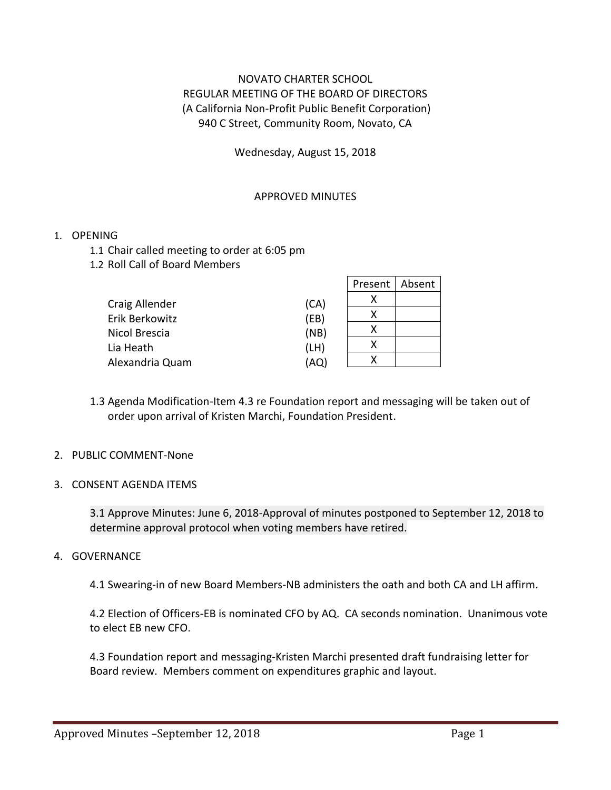# NOVATO CHARTER SCHOOL REGULAR MEETING OF THE BOARD OF DIRECTORS (A California Non-Profit Public Benefit Corporation) 940 C Street, Community Room, Novato, CA

Wednesday, August 15, 2018

## APPROVED MINUTES

## 1. OPENING

- 1.1 Chair called meeting to order at 6:05 pm
- 1.2 Roll Call of Board Members

|      | Present      | Absent |
|------|--------------|--------|
|      | х            |        |
|      | χ            |        |
| (NB) | x            |        |
| (LH) | x            |        |
| (AQ) |              |        |
|      | (CA)<br>(EB) |        |

1.3 Agenda Modification-Item 4.3 re Foundation report and messaging will be taken out of order upon arrival of Kristen Marchi, Foundation President.

### 2. PUBLIC COMMENT-None

3. CONSENT AGENDA ITEMS

3.1 Approve Minutes: June 6, 2018-Approval of minutes postponed to September 12, 2018 to determine approval protocol when voting members have retired.

### 4. GOVERNANCE

4.1 Swearing-in of new Board Members-NB administers the oath and both CA and LH affirm.

4.2 Election of Officers-EB is nominated CFO by AQ. CA seconds nomination. Unanimous vote to elect EB new CFO.

4.3 Foundation report and messaging-Kristen Marchi presented draft fundraising letter for Board review. Members comment on expenditures graphic and layout.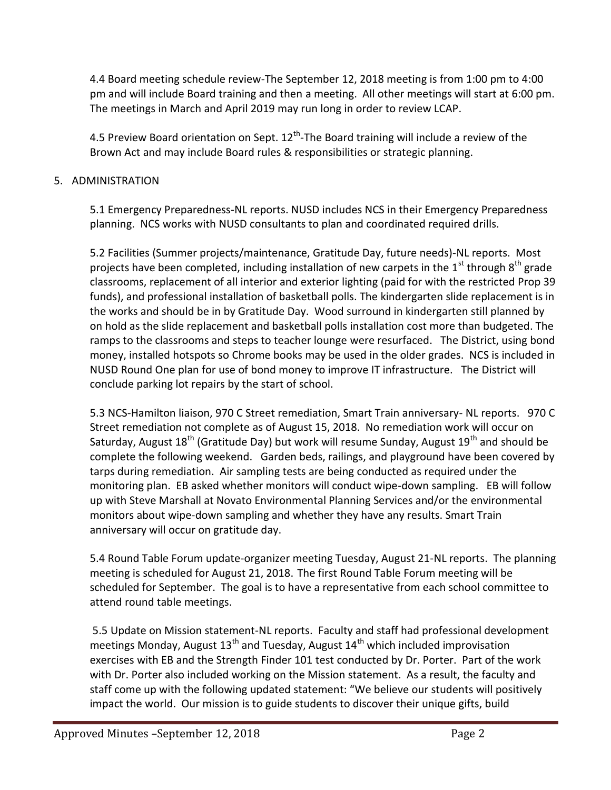4.4 Board meeting schedule review-The September 12, 2018 meeting is from 1:00 pm to 4:00 pm and will include Board training and then a meeting. All other meetings will start at 6:00 pm. The meetings in March and April 2019 may run long in order to review LCAP.

4.5 Preview Board orientation on Sept.  $12^{th}$ -The Board training will include a review of the Brown Act and may include Board rules & responsibilities or strategic planning.

# 5. ADMINISTRATION

5.1 Emergency Preparedness-NL reports. NUSD includes NCS in their Emergency Preparedness planning. NCS works with NUSD consultants to plan and coordinated required drills.

5.2 Facilities (Summer projects/maintenance, Gratitude Day, future needs)-NL reports. Most projects have been completed, including installation of new carpets in the 1<sup>st</sup> through 8<sup>th</sup> grade classrooms, replacement of all interior and exterior lighting (paid for with the restricted Prop 39 funds), and professional installation of basketball polls. The kindergarten slide replacement is in the works and should be in by Gratitude Day. Wood surround in kindergarten still planned by on hold as the slide replacement and basketball polls installation cost more than budgeted. The ramps to the classrooms and steps to teacher lounge were resurfaced. The District, using bond money, installed hotspots so Chrome books may be used in the older grades. NCS is included in NUSD Round One plan for use of bond money to improve IT infrastructure. The District will conclude parking lot repairs by the start of school.

5.3 NCS-Hamilton liaison, 970 C Street remediation, Smart Train anniversary- NL reports. 970 C Street remediation not complete as of August 15, 2018. No remediation work will occur on Saturday, August 18<sup>th</sup> (Gratitude Day) but work will resume Sunday, August 19<sup>th</sup> and should be complete the following weekend. Garden beds, railings, and playground have been covered by tarps during remediation. Air sampling tests are being conducted as required under the monitoring plan. EB asked whether monitors will conduct wipe-down sampling. EB will follow up with Steve Marshall at Novato Environmental Planning Services and/or the environmental monitors about wipe-down sampling and whether they have any results. Smart Train anniversary will occur on gratitude day.

5.4 Round Table Forum update-organizer meeting Tuesday, August 21-NL reports. The planning meeting is scheduled for August 21, 2018. The first Round Table Forum meeting will be scheduled for September. The goal is to have a representative from each school committee to attend round table meetings.

5.5 Update on Mission statement-NL reports. Faculty and staff had professional development meetings Monday, August  $13<sup>th</sup>$  and Tuesday, August  $14<sup>th</sup>$  which included improvisation exercises with EB and the Strength Finder 101 test conducted by Dr. Porter. Part of the work with Dr. Porter also included working on the Mission statement. As a result, the faculty and staff come up with the following updated statement: "We believe our students will positively impact the world. Our mission is to guide students to discover their unique gifts, build